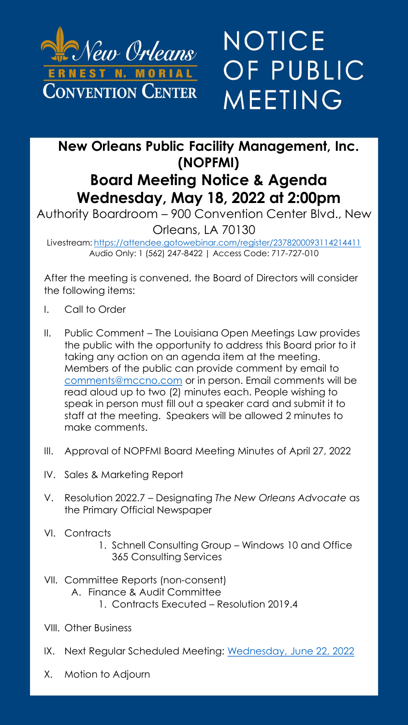

## NOTICE OF PUBLIC MEETING

## **New Orleans Public Facility Management, Inc. (NOPFMI) Board Meeting Notice & Agenda**

**Wednesday, May 18, 2022 at 2:00pm** Authority Boardroom – 900 Convention Center Blvd., New

Orleans, LA 70130

Livestream: <https://attendee.gotowebinar.com/register/2378200093114214411> Audio Only: 1 (562) 247-8422 | Access Code: 717-727-010

After the meeting is convened, the Board of Directors will consider the following items:

- I. Call to Order
- II. Public Comment The Louisiana Open Meetings Law provides the public with the opportunity to address this Board prior to it taking any action on an agenda item at the meeting. Members of the public can provide comment by email to [comments@mccno.com](mailto:comments@mccno.com) or in person. Email comments will be read aloud up to two (2) minutes each. People wishing to speak in person must fill out a speaker card and submit it to staff at the meeting. Speakers will be allowed 2 minutes to make comments.
- III. Approval of NOPFMI Board Meeting Minutes of April 27, 2022
- IV. Sales & Marketing Report
- V. Resolution 2022.7 Designating *The New Orleans Advocate* as the Primary Official Newspaper
- VI. Contracts
	- 1. Schnell Consulting Group Windows 10 and Office 365 Consulting Services
- VII. Committee Reports (non-consent)
	- A. Finance & Audit Committee
		- 1. Contracts Executed Resolution 2019.4
- VIII. Other Business
- IX. Next Regular Scheduled Meeting: Wednesday, June 22, 2022
- X. Motion to Adjourn